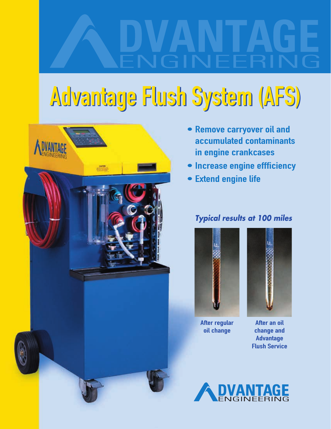## Advantage Flush System (AFS) Advantage Flush System (AFS)



- Remove carryover oil and accumulated contaminants in engine crankcases
- Increase engine effficiency
- Extend engine life

### *Typical results at 100 miles*



After regular oil change